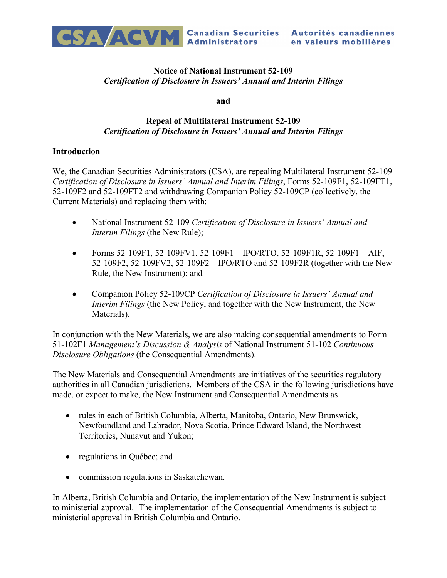

Autorités canadiennes en valeurs mobilières

# **Notice of National Instrument 52-109** *Certification of Disclosure in Issuers' Annual and Interim Filings*

**and** 

# **Repeal of Multilateral Instrument 52-109** *Certification of Disclosure in Issuers' Annual and Interim Filings*

## **Introduction**

We, the Canadian Securities Administrators (CSA), are repealing Multilateral Instrument 52-109 *Certification of Disclosure in Issuers' Annual and Interim Filings*, Forms 52-109F1, 52-109FT1, 52-109F2 and 52-109FT2 and withdrawing Companion Policy 52-109CP (collectively, the Current Materials) and replacing them with:

- · National Instrument 52-109 *Certification of Disclosure in Issuers' Annual and Interim Filings* (the New Rule);
- Forms 52-109F1, 52-109FV1, 52-109F1 IPO/RTO, 52-109F1R, 52-109F1 AIF, 52-109F2, 52-109FV2, 52-109F2 – IPO/RTO and 52-109F2R (together with the New Rule, the New Instrument); and
- · Companion Policy 52-109CP *Certification of Disclosure in Issuers' Annual and Interim Filings* (the New Policy, and together with the New Instrument, the New Materials).

In conjunction with the New Materials, we are also making consequential amendments to Form 51-102F1 *Management's Discussion & Analysis* of National Instrument 51-102 *Continuous Disclosure Obligations* (the Consequential Amendments).

The New Materials and Consequential Amendments are initiatives of the securities regulatory authorities in all Canadian jurisdictions. Members of the CSA in the following jurisdictions have made, or expect to make, the New Instrument and Consequential Amendments as

- · rules in each of British Columbia, Alberta, Manitoba, Ontario, New Brunswick, Newfoundland and Labrador, Nova Scotia, Prince Edward Island, the Northwest Territories, Nunavut and Yukon;
- regulations in Québec; and
- · commission regulations in Saskatchewan.

In Alberta, British Columbia and Ontario, the implementation of the New Instrument is subject to ministerial approval. The implementation of the Consequential Amendments is subject to ministerial approval in British Columbia and Ontario.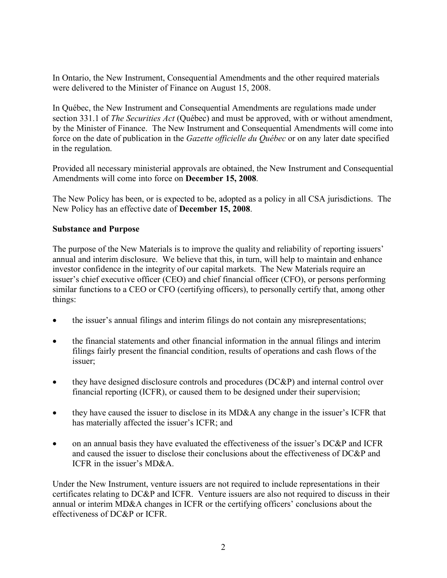In Ontario, the New Instrument, Consequential Amendments and the other required materials were delivered to the Minister of Finance on August 15, 2008.

In Québec, the New Instrument and Consequential Amendments are regulations made under section 331.1 of *The Securities Act* (Québec) and must be approved, with or without amendment, by the Minister of Finance. The New Instrument and Consequential Amendments will come into force on the date of publication in the *Gazette officielle du Québec* or on any later date specified in the regulation.

Provided all necessary ministerial approvals are obtained, the New Instrument and Consequential Amendments will come into force on **December 15, 2008**.

The New Policy has been, or is expected to be, adopted as a policy in all CSA jurisdictions. The New Policy has an effective date of **December 15, 2008**.

## **Substance and Purpose**

The purpose of the New Materials is to improve the quality and reliability of reporting issuers' annual and interim disclosure. We believe that this, in turn, will help to maintain and enhance investor confidence in the integrity of our capital markets. The New Materials require an issuer's chief executive officer (CEO) and chief financial officer (CFO), or persons performing similar functions to a CEO or CFO (certifying officers), to personally certify that, among other things:

- the issuer's annual filings and interim filings do not contain any misrepresentations;
- · the financial statements and other financial information in the annual filings and interim filings fairly present the financial condition, results of operations and cash flows of the issuer;
- they have designed disclosure controls and procedures (DC&P) and internal control over financial reporting (ICFR), or caused them to be designed under their supervision;
- they have caused the issuer to disclose in its MD&A any change in the issuer's ICFR that has materially affected the issuer's ICFR; and
- on an annual basis they have evaluated the effectiveness of the issuer's DC&P and ICFR and caused the issuer to disclose their conclusions about the effectiveness of DC&P and ICFR in the issuer's MD&A.

Under the New Instrument, venture issuers are not required to include representations in their certificates relating to DC&P and ICFR. Venture issuers are also not required to discuss in their annual or interim MD&A changes in ICFR or the certifying officers' conclusions about the effectiveness of DC&P or ICFR.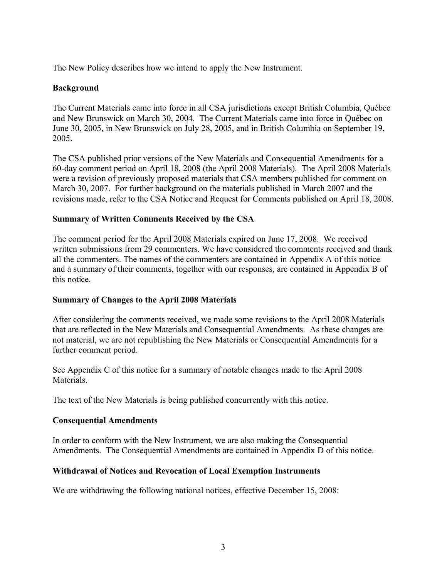The New Policy describes how we intend to apply the New Instrument.

# **Background**

The Current Materials came into force in all CSA jurisdictions except British Columbia, Québec and New Brunswick on March 30, 2004. The Current Materials came into force in Québec on June 30, 2005, in New Brunswick on July 28, 2005, and in British Columbia on September 19, 2005.

The CSA published prior versions of the New Materials and Consequential Amendments for a 60-day comment period on April 18, 2008 (the April 2008 Materials). The April 2008 Materials were a revision of previously proposed materials that CSA members published for comment on March 30, 2007. For further background on the materials published in March 2007 and the revisions made, refer to the CSA Notice and Request for Comments published on April 18, 2008.

## **Summary of Written Comments Received by the CSA**

The comment period for the April 2008 Materials expired on June 17, 2008. We received written submissions from 29 commenters. We have considered the comments received and thank all the commenters. The names of the commenters are contained in Appendix A of this notice and a summary of their comments, together with our responses, are contained in Appendix B of this notice.

#### **Summary of Changes to the April 2008 Materials**

After considering the comments received, we made some revisions to the April 2008 Materials that are reflected in the New Materials and Consequential Amendments. As these changes are not material, we are not republishing the New Materials or Consequential Amendments for a further comment period.

See Appendix C of this notice for a summary of notable changes made to the April 2008 **Materials** 

The text of the New Materials is being published concurrently with this notice.

#### **Consequential Amendments**

In order to conform with the New Instrument, we are also making the Consequential Amendments. The Consequential Amendments are contained in Appendix D of this notice.

#### **Withdrawal of Notices and Revocation of Local Exemption Instruments**

We are withdrawing the following national notices, effective December 15, 2008: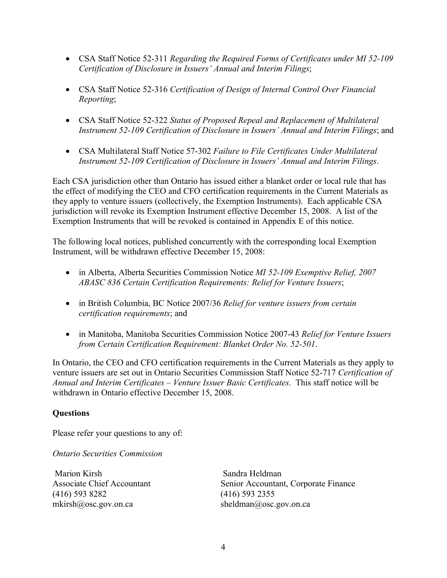- · CSA Staff Notice 52-311 *Regarding the Required Forms of Certificates under MI 52-109 Certification of Disclosure in Issuers' Annual and Interim Filings*;
- · CSA Staff Notice 52-316 *Certification of Design of Internal Control Over Financial Reporting*;
- · CSA Staff Notice 52-322 *Status of Proposed Repeal and Replacement of Multilateral Instrument 52-109 Certification of Disclosure in Issuers' Annual and Interim Filings*; and
- · CSA Multilateral Staff Notice 57-302 *Failure to File Certificates Under Multilateral Instrument 52-109 Certification of Disclosure in Issuers' Annual and Interim Filings*.

Each CSA jurisdiction other than Ontario has issued either a blanket order or local rule that has the effect of modifying the CEO and CFO certification requirements in the Current Materials as they apply to venture issuers (collectively, the Exemption Instruments). Each applicable CSA jurisdiction will revoke its Exemption Instrument effective December 15, 2008. A list of the Exemption Instruments that will be revoked is contained in Appendix E of this notice.

The following local notices, published concurrently with the corresponding local Exemption Instrument, will be withdrawn effective December 15, 2008:

- · in Alberta, Alberta Securities Commission Notice *MI 52-109 Exemptive Relief, 2007 ABASC 836 Certain Certification Requirements: Relief for Venture Issuers*;
- · in British Columbia, BC Notice 2007/36 *Relief for venture issuers from certain certification requirements*; and
- · in Manitoba, Manitoba Securities Commission Notice 2007-43 *Relief for Venture Issuers from Certain Certification Requirement: Blanket Order No. 52-501*.

In Ontario, the CEO and CFO certification requirements in the Current Materials as they apply to venture issuers are set out in Ontario Securities Commission Staff Notice 52-717 *Certification of Annual and Interim Certificates – Venture Issuer Basic Certificates*. This staff notice will be withdrawn in Ontario effective December 15, 2008.

# **Questions**

Please refer your questions to any of:

*Ontario Securities Commission*

Marion Kirsh Associate Chief Accountant (416) 593 8282 mkirsh@osc.gov.on.ca

Sandra Heldman Senior Accountant, Corporate Finance (416) 593 2355 sheldman@osc.gov.on.ca